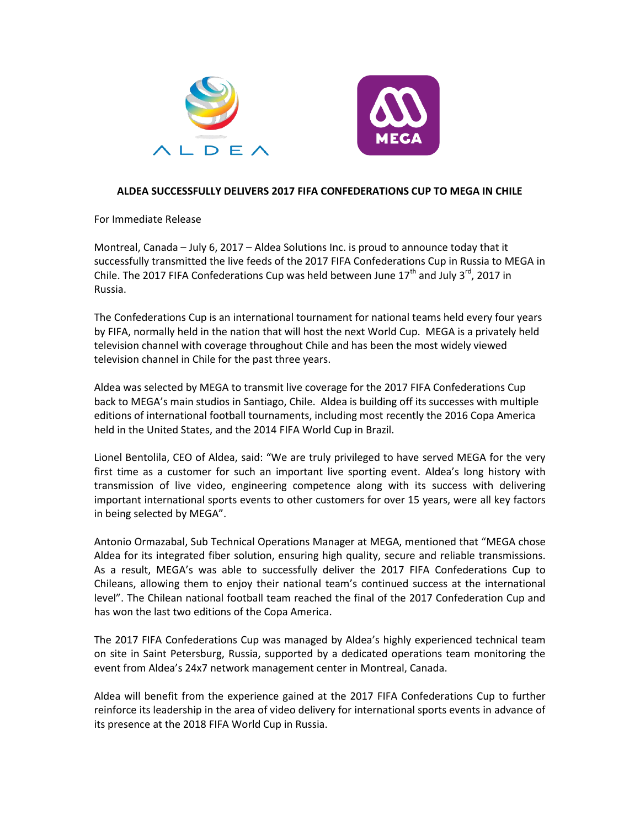



## **ALDEA SUCCESSFULLY DELIVERS 2017 FIFA CONFEDERATIONS CUP TO MEGA IN CHILE**

For Immediate Release

Montreal, Canada – July 6, 2017 – Aldea Solutions Inc. is proud to announce today that it successfully transmitted the live feeds of the 2017 FIFA Confederations Cup in Russia to MEGA in Chile. The 2017 FIFA Confederations Cup was held between June  $17<sup>th</sup>$  and July 3<sup>rd</sup>, 2017 in Russia.

The Confederations Cup is an international tournament for national teams held every four years by FIFA, normally held in the nation that will host the next World Cup. MEGA is a privately held television channel with coverage throughout Chile and has been the most widely viewed television channel in Chile for the past three years.

Aldea was selected by MEGA to transmit live coverage for the 2017 FIFA Confederations Cup back to MEGA's main studios in Santiago, Chile. Aldea is building off its successes with multiple editions of international football tournaments, including most recently the 2016 Copa America held in the United States, and the 2014 FIFA World Cup in Brazil.

Lionel Bentolila, CEO of Aldea, said: "We are truly privileged to have served MEGA for the very first time as a customer for such an important live sporting event. Aldea's long history with transmission of live video, engineering competence along with its success with delivering important international sports events to other customers for over 15 years, were all key factors in being selected by MEGA".

Antonio Ormazabal, Sub Technical Operations Manager at MEGA, mentioned that "MEGA chose Aldea for its integrated fiber solution, ensuring high quality, secure and reliable transmissions. As a result, MEGA's was able to successfully deliver the 2017 FIFA Confederations Cup to Chileans, allowing them to enjoy their national team's continued success at the international level". The Chilean national football team reached the final of the 2017 Confederation Cup and has won the last two editions of the Copa America.

The 2017 FIFA Confederations Cup was managed by Aldea's highly experienced technical team on site in Saint Petersburg, Russia, supported by a dedicated operations team monitoring the event from Aldea's 24x7 network management center in Montreal, Canada.

Aldea will benefit from the experience gained at the 2017 FIFA Confederations Cup to further reinforce its leadership in the area of video delivery for international sports events in advance of its presence at the 2018 FIFA World Cup in Russia.